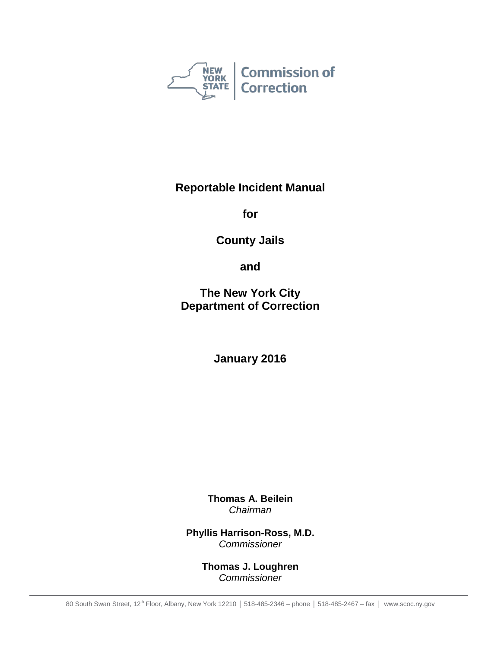

**Reportable Incident Manual**

**for**

**County Jails**

**and**

**The New York City Department of Correction**

**January 2016**

**Thomas A. Beilein** *Chairman*

**Phyllis Harrison-Ross, M.D.** *Commissioner*

> **Thomas J. Loughren** *Commissioner*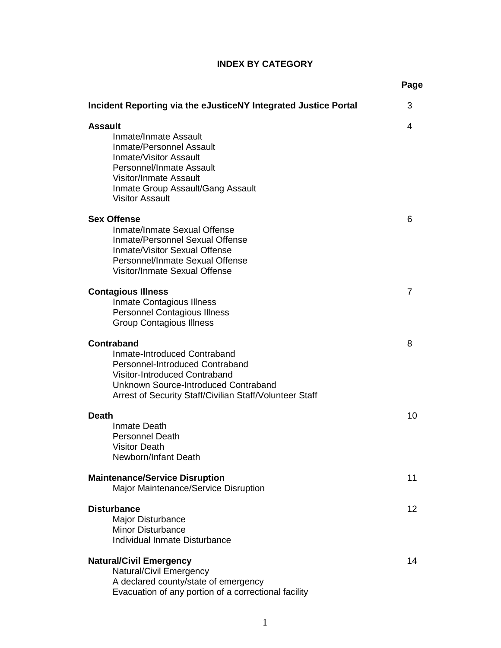# **INDEX BY CATEGORY**

|                                                                                                                                                                                                                                         | Page |
|-----------------------------------------------------------------------------------------------------------------------------------------------------------------------------------------------------------------------------------------|------|
| Incident Reporting via the eJusticeNY Integrated Justice Portal                                                                                                                                                                         | 3    |
| <b>Assault</b><br>Inmate/Inmate Assault<br><b>Inmate/Personnel Assault</b><br><b>Inmate/Visitor Assault</b><br>Personnel/Inmate Assault<br><b>Visitor/Inmate Assault</b><br>Inmate Group Assault/Gang Assault<br><b>Visitor Assault</b> | 4    |
| <b>Sex Offense</b><br>Inmate/Inmate Sexual Offense<br>Inmate/Personnel Sexual Offense<br>Inmate/Visitor Sexual Offense<br>Personnel/Inmate Sexual Offense<br>Visitor/Inmate Sexual Offense                                              | 6    |
| <b>Contagious Illness</b><br><b>Inmate Contagious Illness</b><br><b>Personnel Contagious Illness</b><br><b>Group Contagious Illness</b>                                                                                                 | 7    |
| <b>Contraband</b><br>Inmate-Introduced Contraband<br>Personnel-Introduced Contraband<br><b>Visitor-Introduced Contraband</b><br>Unknown Source-Introduced Contraband<br>Arrest of Security Staff/Civilian Staff/Volunteer Staff         | 8    |
| <b>Death</b><br>Inmate Death<br><b>Personnel Death</b><br><b>Visitor Death</b><br>Newborn/Infant Death                                                                                                                                  | 10   |
| <b>Maintenance/Service Disruption</b><br>Major Maintenance/Service Disruption                                                                                                                                                           | 11   |
| <b>Disturbance</b><br>Major Disturbance<br>Minor Disturbance<br>Individual Inmate Disturbance                                                                                                                                           | 12   |
| <b>Natural/Civil Emergency</b><br><b>Natural/Civil Emergency</b><br>A declared county/state of emergency<br>Evacuation of any portion of a correctional facility                                                                        | 14   |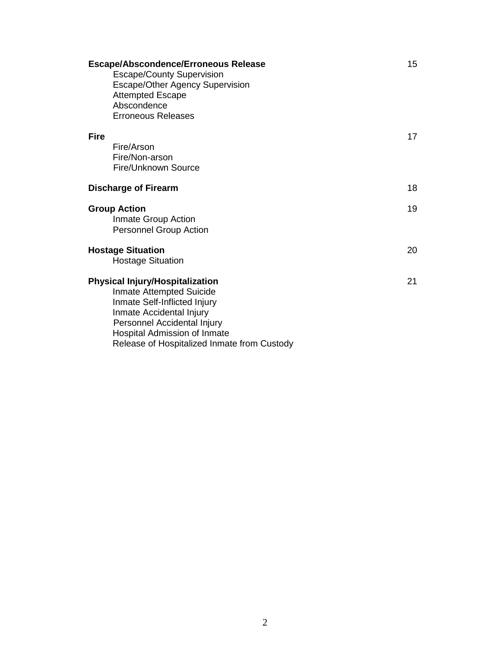|             | <b>Escape/Abscondence/Erroneous Release</b><br><b>Escape/County Supervision</b><br>Escape/Other Agency Supervision<br><b>Attempted Escape</b><br>Abscondence<br><b>Erroneous Releases</b>                                                    | 15 |
|-------------|----------------------------------------------------------------------------------------------------------------------------------------------------------------------------------------------------------------------------------------------|----|
| <b>Fire</b> | Fire/Arson<br>Fire/Non-arson<br>Fire/Unknown Source                                                                                                                                                                                          | 17 |
|             | <b>Discharge of Firearm</b>                                                                                                                                                                                                                  | 18 |
|             | <b>Group Action</b><br>Inmate Group Action<br>Personnel Group Action                                                                                                                                                                         | 19 |
|             | <b>Hostage Situation</b><br><b>Hostage Situation</b>                                                                                                                                                                                         | 20 |
|             | <b>Physical Injury/Hospitalization</b><br>Inmate Attempted Suicide<br>Inmate Self-Inflicted Injury<br>Inmate Accidental Injury<br>Personnel Accidental Injury<br>Hospital Admission of Inmate<br>Release of Hospitalized Inmate from Custody | 21 |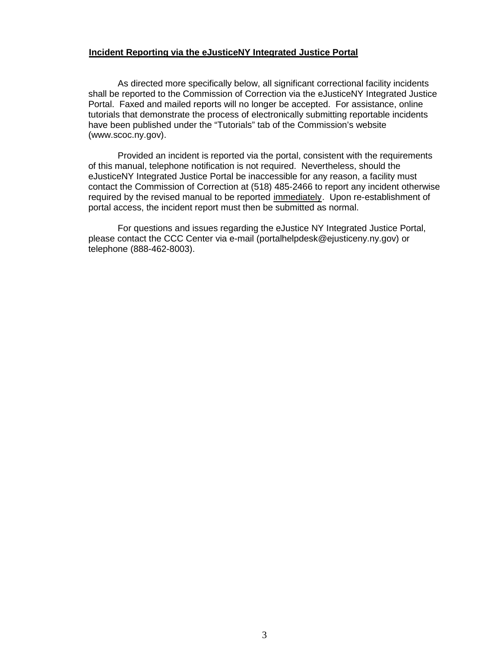#### **Incident Reporting via the eJusticeNY Integrated Justice Portal**

 As directed more specifically below, all significant correctional facility incidents shall be reported to the Commission of Correction via the eJusticeNY Integrated Justice Portal. Faxed and mailed reports will no longer be accepted. For assistance, online tutorials that demonstrate the process of electronically submitting reportable incidents have been published under the "Tutorials" tab of the Commission's website (www.scoc.ny.gov).

 Provided an incident is reported via the portal, consistent with the requirements of this manual, telephone notification is not required. Nevertheless, should the eJusticeNY Integrated Justice Portal be inaccessible for any reason, a facility must contact the Commission of Correction at (518) 485-2466 to report any incident otherwise required by the revised manual to be reported immediately. Upon re-establishment of portal access, the incident report must then be submitted as normal.

 For questions and issues regarding the eJustice NY Integrated Justice Portal, please contact the CCC Center via e-mail (portalhelpdesk@ejusticeny.ny.gov) or telephone (888-462-8003).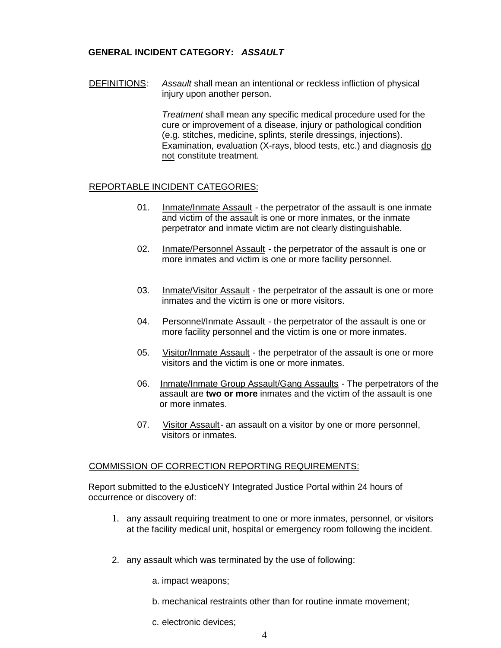### **GENERAL INCIDENT CATEGORY:** *ASSAULT*

DEFINITIONS: Assault shall mean an intentional or reckless infliction of physical injury upon another person.

> *Treatment* shall mean any specific medical procedure used for the cure or improvement of a disease, injury or pathological condition (e.g. stitches, medicine, splints, sterile dressings, injections). Examination, evaluation (X-rays, blood tests, etc.) and diagnosis do not constitute treatment.

#### REPORTABLE INCIDENT CATEGORIES:

- 01. Inmate/Inmate Assault the perpetrator of the assault is one inmate and victim of the assault is one or more inmates, or the inmate perpetrator and inmate victim are not clearly distinguishable.
- 02. Inmate/Personnel Assault the perpetrator of the assault is one or more inmates and victim is one or more facility personnel.
- 03. Inmate/Visitor Assault the perpetrator of the assault is one or more inmates and the victim is one or more visitors.
- 04. Personnel/Inmate Assault the perpetrator of the assault is one or more facility personnel and the victim is one or more inmates.
- 05. Visitor/Inmate Assault the perpetrator of the assault is one or more visitors and the victim is one or more inmates.
- 06. Inmate/Inmate Group Assault/Gang Assaults The perpetrators of the assault are **two or more** inmates and the victim of the assault is one or more inmates.
- 07. Visitor Assault- an assault on a visitor by one or more personnel, visitors or inmates.

#### COMMISSION OF CORRECTION REPORTING REQUIREMENTS:

Report submitted to the eJusticeNY Integrated Justice Portal within 24 hours of occurrence or discovery of:

- 1. any assault requiring treatment to one or more inmates, personnel, or visitors at the facility medical unit, hospital or emergency room following the incident.
- 2. any assault which was terminated by the use of following:
	- a. impact weapons;
	- b. mechanical restraints other than for routine inmate movement;
	- c. electronic devices;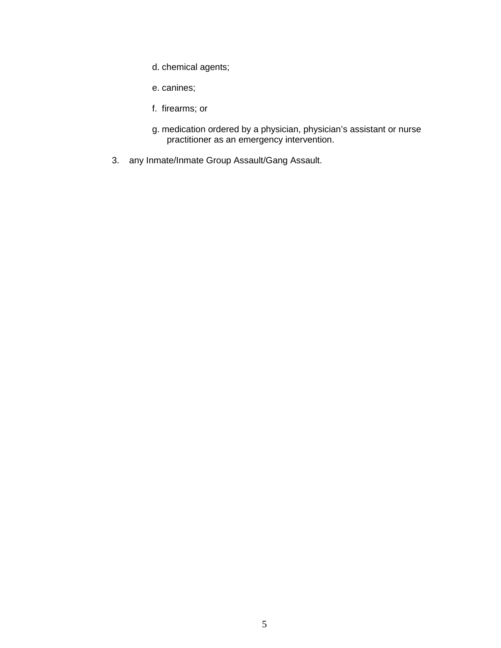- d. chemical agents;
- e. canines;
- f. firearms; or
- g. medication ordered by a physician, physician's assistant or nurse practitioner as an emergency intervention.
- 3. any Inmate/Inmate Group Assault/Gang Assault.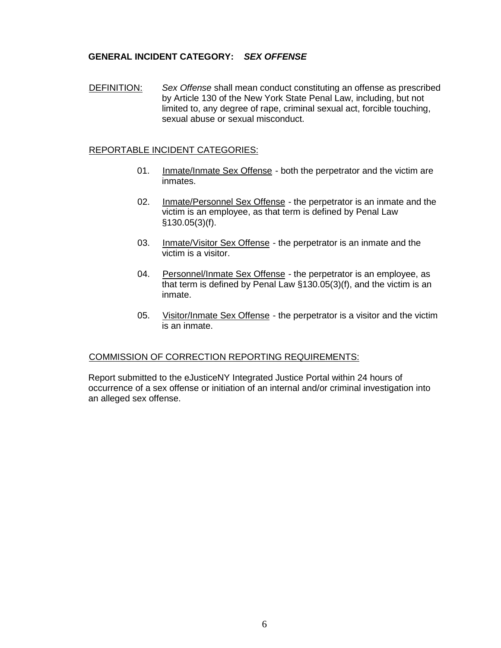## **GENERAL INCIDENT CATEGORY:** *SEX OFFENSE*

DEFINITION: Sex Offense shall mean conduct constituting an offense as prescribed by Article 130 of the New York State Penal Law, including, but not limited to, any degree of rape, criminal sexual act, forcible touching, sexual abuse or sexual misconduct.

### REPORTABLE INCIDENT CATEGORIES:

- 01. Inmate/Inmate Sex Offense both the perpetrator and the victim are inmates.
- 02. Inmate/Personnel Sex Offense the perpetrator is an inmate and the victim is an employee, as that term is defined by Penal Law §130.05(3)(f).
- 03. Inmate/Visitor Sex Offense the perpetrator is an inmate and the victim is a visitor.
- 04. Personnel/Inmate Sex Offense the perpetrator is an employee, as that term is defined by Penal Law §130.05(3)(f), and the victim is an inmate.
- 05. Visitor/Inmate Sex Offense the perpetrator is a visitor and the victim is an inmate.

### COMMISSION OF CORRECTION REPORTING REQUIREMENTS:

Report submitted to the eJusticeNY Integrated Justice Portal within 24 hours of occurrence of a sex offense or initiation of an internal and/or criminal investigation into an alleged sex offense.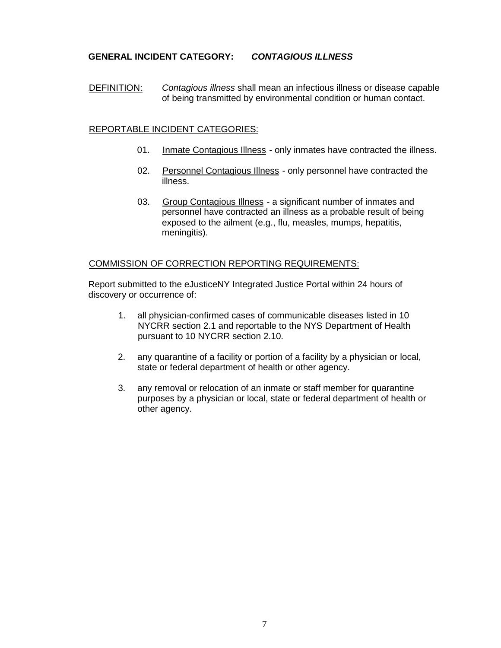## **GENERAL INCIDENT CATEGORY:** *CONTAGIOUS ILLNESS*

DEFINITION: Contagious illness shall mean an infectious illness or disease capable of being transmitted by environmental condition or human contact.

### REPORTABLE INCIDENT CATEGORIES:

- 01. Inmate Contagious Illness only inmates have contracted the illness.
- 02. Personnel Contagious Illness only personnel have contracted the illness.
- 03. Group Contagious Illness a significant number of inmates and personnel have contracted an illness as a probable result of being exposed to the ailment (e.g., flu, measles, mumps, hepatitis, meningitis).

### COMMISSION OF CORRECTION REPORTING REQUIREMENTS:

Report submitted to the eJusticeNY Integrated Justice Portal within 24 hours of discovery or occurrence of:

- 1. all physician-confirmed cases of communicable diseases listed in 10 NYCRR section 2.1 and reportable to the NYS Department of Health pursuant to 10 NYCRR section 2.10.
- 2.any quarantine of a facility or portion of a facility by a physician or local, state or federal department of health or other agency.
- 3.any removal or relocation of an inmate or staff member for quarantine purposes by a physician or local, state or federal department of health or other agency.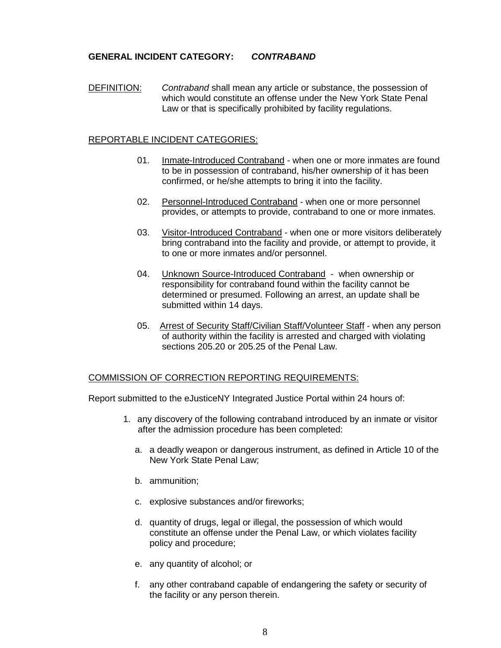### **GENERAL INCIDENT CATEGORY:** *CONTRABAND*

DEFINITION: *Contraband* shall mean any article or substance, the possession of which would constitute an offense under the New York State Penal Law or that is specifically prohibited by facility regulations.

#### REPORTABLE INCIDENT CATEGORIES:

- 01. Inmate-Introduced Contraband when one or more inmates are found to be in possession of contraband, his/her ownership of it has been confirmed, or he/she attempts to bring it into the facility.
- 02. Personnel-Introduced Contraband when one or more personnel provides, or attempts to provide, contraband to one or more inmates.
- 03. Visitor-Introduced Contraband when one or more visitors deliberately bring contraband into the facility and provide, or attempt to provide, it to one or more inmates and/or personnel.
- 04. Unknown Source-Introduced Contraband when ownership or responsibility for contraband found within the facility cannot be determined or presumed. Following an arrest, an update shall be submitted within 14 days.
- 05. Arrest of Security Staff/Civilian Staff/Volunteer Staff when any person of authority within the facility is arrested and charged with violating sections 205.20 or 205.25 of the Penal Law.

#### COMMISSION OF CORRECTION REPORTING REQUIREMENTS:

- 1. any discovery of the following contraband introduced by an inmate or visitor after the admission procedure has been completed:
	- a. a deadly weapon or dangerous instrument, as defined in Article 10 of the New York State Penal Law;
	- b. ammunition;
	- c. explosive substances and/or fireworks;
	- d. quantity of drugs, legal or illegal, the possession of which would constitute an offense under the Penal Law, or which violates facility policy and procedure;
	- e. any quantity of alcohol; or
	- f. any other contraband capable of endangering the safety or security of the facility or any person therein.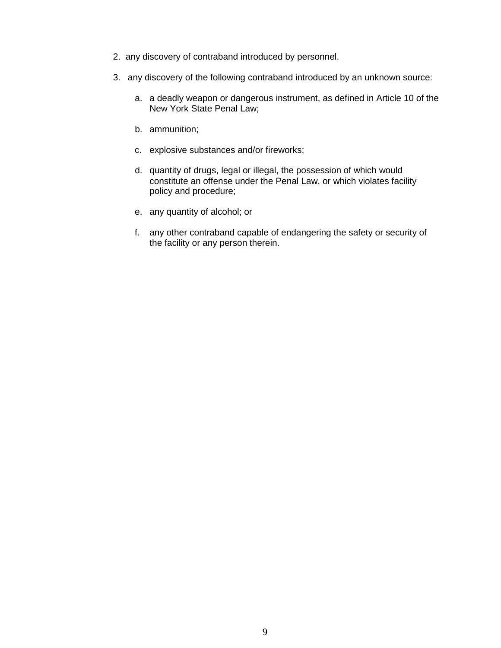- 2. any discovery of contraband introduced by personnel.
- 3. any discovery of the following contraband introduced by an unknown source:
	- a. a deadly weapon or dangerous instrument, as defined in Article 10 of the New York State Penal Law;
	- b. ammunition;
	- c. explosive substances and/or fireworks;
	- d. quantity of drugs, legal or illegal, the possession of which would constitute an offense under the Penal Law, or which violates facility policy and procedure;
	- e. any quantity of alcohol; or
	- f. any other contraband capable of endangering the safety or security of the facility or any person therein.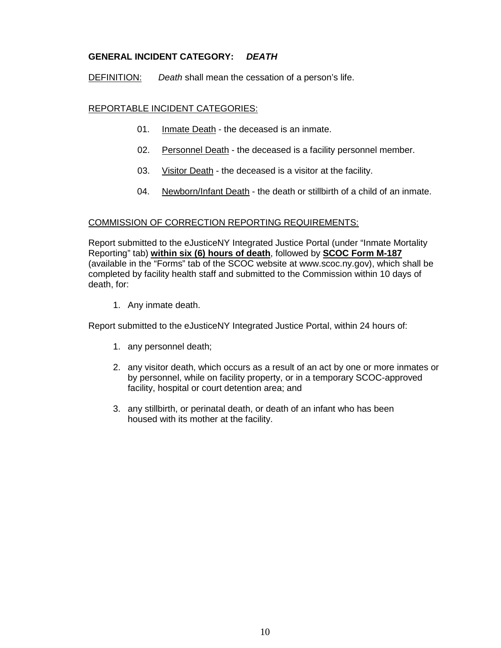## **GENERAL INCIDENT CATEGORY:** *DEATH*

DEFINITION: *Death* shall mean the cessation of a person's life.

### REPORTABLE INCIDENT CATEGORIES:

- 01. Inmate Death the deceased is an inmate.
- 02. Personnel Death the deceased is a facility personnel member.
- 03. Visitor Death the deceased is a visitor at the facility.
- 04. Newborn/Infant Death the death or stillbirth of a child of an inmate.

### COMMISSION OF CORRECTION REPORTING REQUIREMENTS:

Report submitted to the eJusticeNY Integrated Justice Portal (under "Inmate Mortality Reporting" tab) **within six (6) hours of death**, followed by **SCOC Form M-187** (available in the "Forms" tab of the SCOC website at www.scoc.ny.gov), which shall be completed by facility health staff and submitted to the Commission within 10 days of death, for:

1. Any inmate death.

- 1. any personnel death;
- 2. any visitor death, which occurs as a result of an act by one or more inmates or by personnel, while on facility property, or in a temporary SCOC-approved facility, hospital or court detention area; and
- 3. any stillbirth, or perinatal death, or death of an infant who has been housed with its mother at the facility.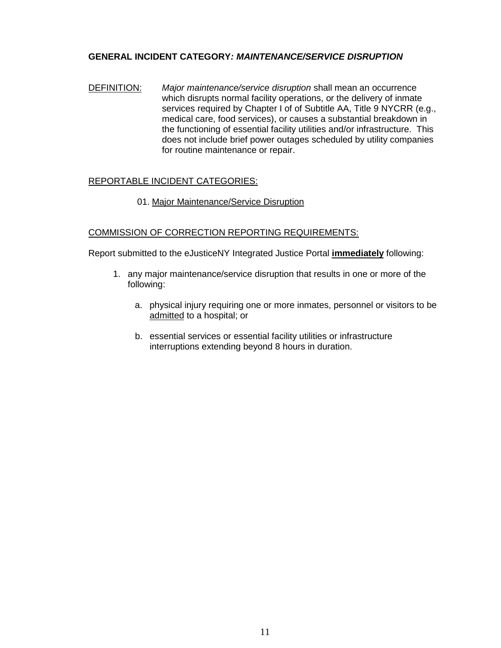## **GENERAL INCIDENT CATEGORY***: MAINTENANCE/SERVICE DISRUPTION*

DEFINITION: *Major maintenance/service disruption* shall mean an occurrence which disrupts normal facility operations, or the delivery of inmate services required by Chapter I of of Subtitle AA, Title 9 NYCRR (e.g., medical care, food services), or causes a substantial breakdown in the functioning of essential facility utilities and/or infrastructure. This does not include brief power outages scheduled by utility companies for routine maintenance or repair.

## REPORTABLE INCIDENT CATEGORIES:

### 01. Major Maintenance/Service Disruption

### COMMISSION OF CORRECTION REPORTING REQUIREMENTS:

Report submitted to the eJusticeNY Integrated Justice Portal **immediately** following:

- 1. any major maintenance/service disruption that results in one or more of the following:
	- a. physical injury requiring one or more inmates, personnel or visitors to be admitted to a hospital; or
	- b. essential services or essential facility utilities or infrastructure interruptions extending beyond 8 hours in duration.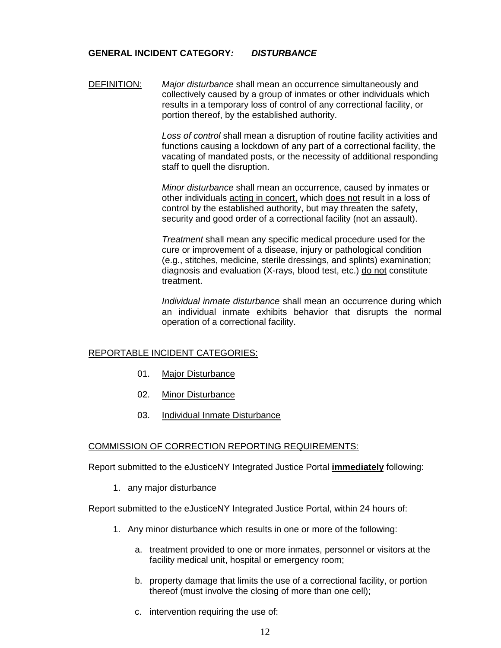### **GENERAL INCIDENT CATEGORY***: DISTURBANCE*

DEFINITION: *Major disturbance* shall mean an occurrence simultaneously and collectively caused by a group of inmates or other individuals which results in a temporary loss of control of any correctional facility, or portion thereof, by the established authority.

> *Loss of control* shall mean a disruption of routine facility activities and functions causing a lockdown of any part of a correctional facility, the vacating of mandated posts, or the necessity of additional responding staff to quell the disruption.

*Minor disturbance* shall mean an occurrence, caused by inmates or other individuals acting in concert, which does not result in a loss of control by the established authority, but may threaten the safety, security and good order of a correctional facility (not an assault).

*Treatment* shall mean any specific medical procedure used for the cure or improvement of a disease, injury or pathological condition (e.g., stitches, medicine, sterile dressings, and splints) examination; diagnosis and evaluation (X-rays, blood test, etc.) do not constitute treatment.

*Individual inmate disturbance* shall mean an occurrence during which an individual inmate exhibits behavior that disrupts the normal operation of a correctional facility.

### REPORTABLE INCIDENT CATEGORIES:

- 01. Major Disturbance
- 02. Minor Disturbance
- 03. Individual Inmate Disturbance

#### COMMISSION OF CORRECTION REPORTING REQUIREMENTS:

Report submitted to the eJusticeNY Integrated Justice Portal **immediately** following:

1. any major disturbance

- 1. Any minor disturbance which results in one or more of the following:
	- a. treatment provided to one or more inmates, personnel or visitors at the facility medical unit, hospital or emergency room;
	- b. property damage that limits the use of a correctional facility, or portion thereof (must involve the closing of more than one cell);
	- c. intervention requiring the use of: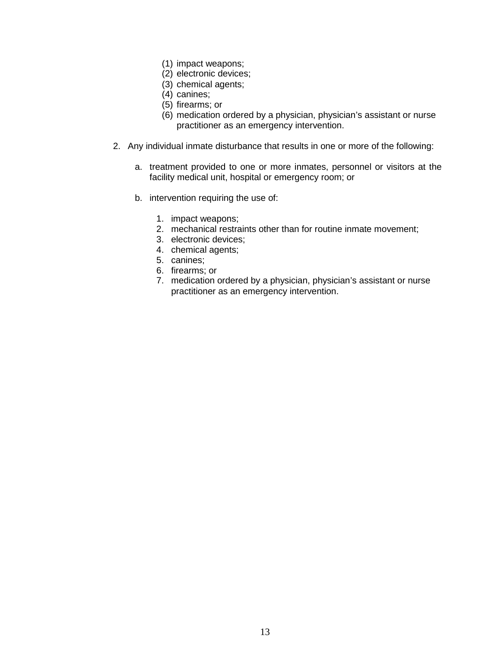- (1) impact weapons;
- (2) electronic devices;
- (3) chemical agents;
- (4) canines;
- (5) firearms; or
- (6) medication ordered by a physician, physician's assistant or nurse practitioner as an emergency intervention.
- 2. Any individual inmate disturbance that results in one or more of the following:
	- a. treatment provided to one or more inmates, personnel or visitors at the facility medical unit, hospital or emergency room; or
	- b. intervention requiring the use of:
		- 1. impact weapons;
		- 2. mechanical restraints other than for routine inmate movement;
		- 3. electronic devices;
		- 4. chemical agents;
		- 5. canines;
		- 6. firearms; or
		- 7. medication ordered by a physician, physician's assistant or nurse practitioner as an emergency intervention.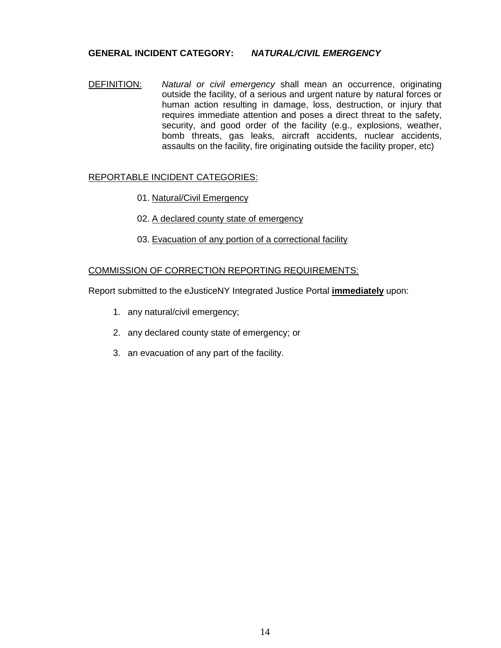#### **GENERAL INCIDENT CATEGORY:** *NATURAL/CIVIL EMERGENCY*

DEFINITION: *Natural or civil emergency* shall mean an occurrence, originating outside the facility, of a serious and urgent nature by natural forces or human action resulting in damage, loss, destruction, or injury that requires immediate attention and poses a direct threat to the safety, security, and good order of the facility (e.g., explosions, weather, bomb threats, gas leaks, aircraft accidents, nuclear accidents, assaults on the facility, fire originating outside the facility proper, etc)

### REPORTABLE INCIDENT CATEGORIES:

- 01. Natural/Civil Emergency
- 02. A declared county state of emergency
- 03. Evacuation of any portion of a correctional facility

#### COMMISSION OF CORRECTION REPORTING REQUIREMENTS:

Report submitted to the eJusticeNY Integrated Justice Portal **immediately** upon:

- 1. any natural/civil emergency;
- 2. any declared county state of emergency; or
- 3. an evacuation of any part of the facility.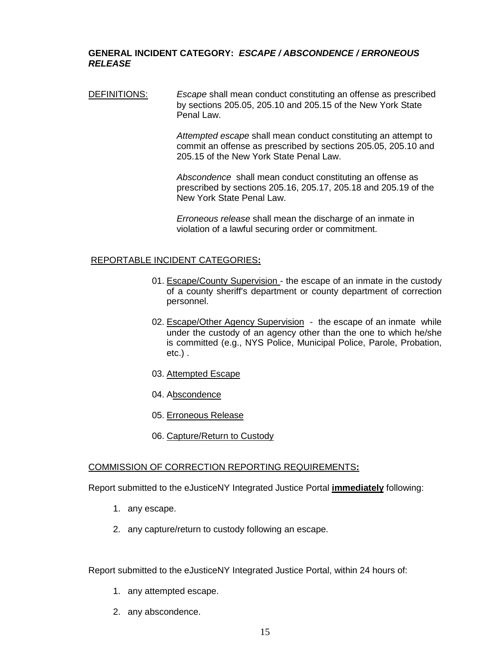#### **GENERAL INCIDENT CATEGORY:** *ESCAPE / ABSCONDENCE / ERRONEOUS RELEASE*

DEFINITIONS: *Escape* shall mean conduct constituting an offense as prescribed by sections 205.05, 205.10 and 205.15 of the New York State Penal Law.

> *Attempted escape* shall mean conduct constituting an attempt to commit an offense as prescribed by sections 205.05, 205.10 and 205.15 of the New York State Penal Law.

> *Abscondence* shall mean conduct constituting an offense as prescribed by sections 205.16, 205.17, 205.18 and 205.19 of the New York State Penal Law.

*Erroneous release* shall mean the discharge of an inmate in violation of a lawful securing order or commitment.

#### REPORTABLE INCIDENT CATEGORIES**:**

- 01. Escape/County Supervision the escape of an inmate in the custody of a county sheriff's department or county department of correction personnel.
- 02. Escape/Other Agency Supervision the escape of an inmate while under the custody of an agency other than the one to which he/she is committed (e.g., NYS Police, Municipal Police, Parole, Probation, etc.) .
- 03. Attempted Escape
- 04. Abscondence
- 05. Erroneous Release
- 06. Capture/Return to Custody

#### COMMISSION OF CORRECTION REPORTING REQUIREMENTS**:**

Report submitted to the eJusticeNY Integrated Justice Portal **immediately** following:

- 1. any escape.
- 2. any capture/return to custody following an escape.

- 1. any attempted escape.
- 2. any abscondence.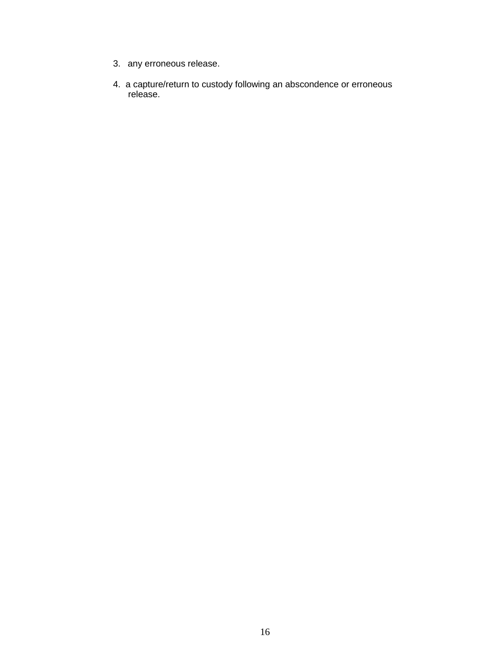- 3. any erroneous release.
- 4. a capture/return to custody following an abscondence or erroneous release.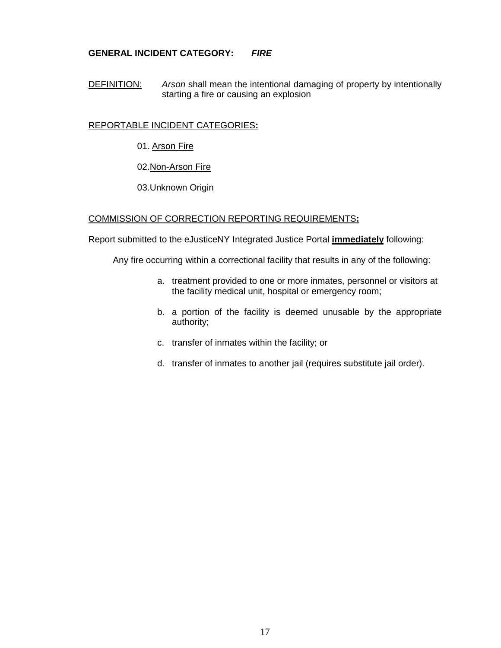## **GENERAL INCIDENT CATEGORY:** *FIRE*

DEFINITION: *Arson* shall mean the intentional damaging of property by intentionally starting a fire or causing an explosion

### REPORTABLE INCIDENT CATEGORIES**:**

- 01. Arson Fire
- 02.Non-Arson Fire
- 03.Unknown Origin

### COMMISSION OF CORRECTION REPORTING REQUIREMENTS**:**

Report submitted to the eJusticeNY Integrated Justice Portal **immediately** following:

Any fire occurring within a correctional facility that results in any of the following:

- a. treatment provided to one or more inmates, personnel or visitors at the facility medical unit, hospital or emergency room;
- b. a portion of the facility is deemed unusable by the appropriate authority;
- c. transfer of inmates within the facility; or
- d. transfer of inmates to another jail (requires substitute jail order).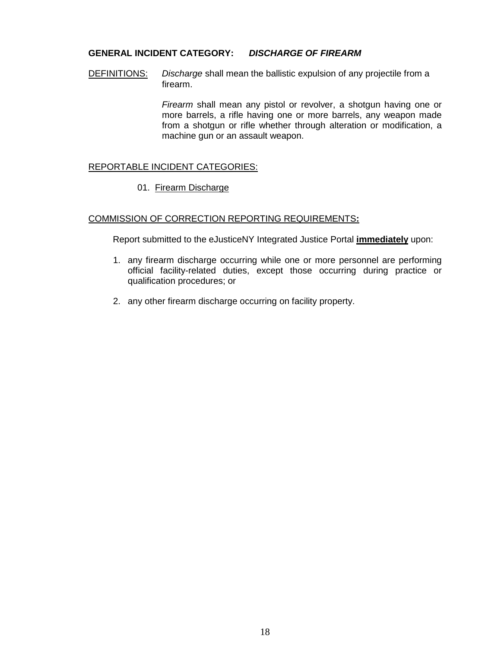### **GENERAL INCIDENT CATEGORY:** *DISCHARGE OF FIREARM*

DEFINITIONS: *Discharge* shall mean the ballistic expulsion of any projectile from a firearm.

> *Firearm* shall mean any pistol or revolver, a shotgun having one or more barrels, a rifle having one or more barrels, any weapon made from a shotgun or rifle whether through alteration or modification, a machine gun or an assault weapon.

#### REPORTABLE INCIDENT CATEGORIES:

01. Firearm Discharge

### COMMISSION OF CORRECTION REPORTING REQUIREMENTS**:**

Report submitted to the eJusticeNY Integrated Justice Portal **immediately** upon:

- 1. any firearm discharge occurring while one or more personnel are performing official facility-related duties, except those occurring during practice or qualification procedures; or
- 2. any other firearm discharge occurring on facility property.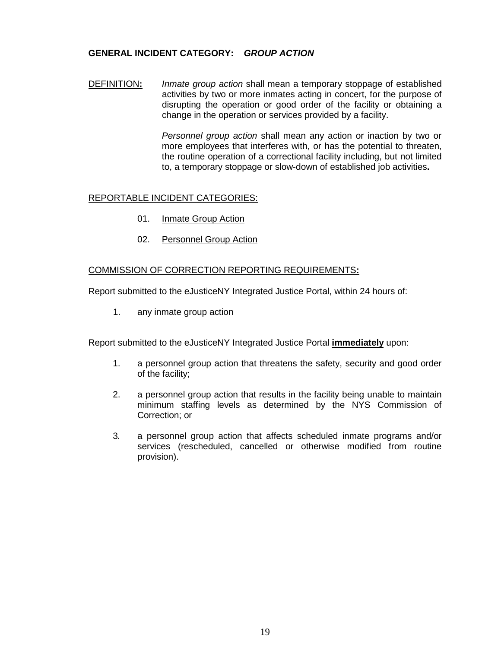### **GENERAL INCIDENT CATEGORY:** *GROUP ACTION*

DEFINITION**:** *Inmate group action* shall mean a temporary stoppage of established activities by two or more inmates acting in concert, for the purpose of disrupting the operation or good order of the facility or obtaining a change in the operation or services provided by a facility.

> *Personnel group action* shall mean any action or inaction by two or more employees that interferes with, or has the potential to threaten, the routine operation of a correctional facility including, but not limited to, a temporary stoppage or slow-down of established job activities**.**

#### REPORTABLE INCIDENT CATEGORIES:

- 01. Inmate Group Action
- 02. Personnel Group Action

#### COMMISSION OF CORRECTION REPORTING REQUIREMENTS**:**

Report submitted to the eJusticeNY Integrated Justice Portal, within 24 hours of:

1. any inmate group action

Report submitted to the eJusticeNY Integrated Justice Portal **immediately** upon:

- 1. a personnel group action that threatens the safety, security and good order of the facility;
- 2. a personnel group action that results in the facility being unable to maintain minimum staffing levels as determined by the NYS Commission of Correction; or
- 3*.* a personnel group action that affects scheduled inmate programs and/or services (rescheduled, cancelled or otherwise modified from routine provision).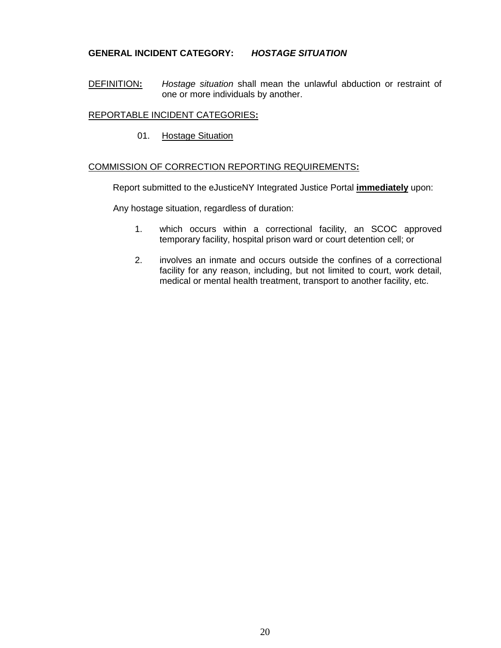### **GENERAL INCIDENT CATEGORY:** *HOSTAGE SITUATION*

DEFINITION**:** *Hostage situation* shall mean the unlawful abduction or restraint of one or more individuals by another.

#### REPORTABLE INCIDENT CATEGORIES**:**

01. Hostage Situation

### COMMISSION OF CORRECTION REPORTING REQUIREMENTS**:**

Report submitted to the eJusticeNY Integrated Justice Portal **immediately** upon:

Any hostage situation, regardless of duration:

- 1. which occurs within a correctional facility, an SCOC approved temporary facility, hospital prison ward or court detention cell; or
- 2. involves an inmate and occurs outside the confines of a correctional facility for any reason, including, but not limited to court, work detail, medical or mental health treatment, transport to another facility, etc.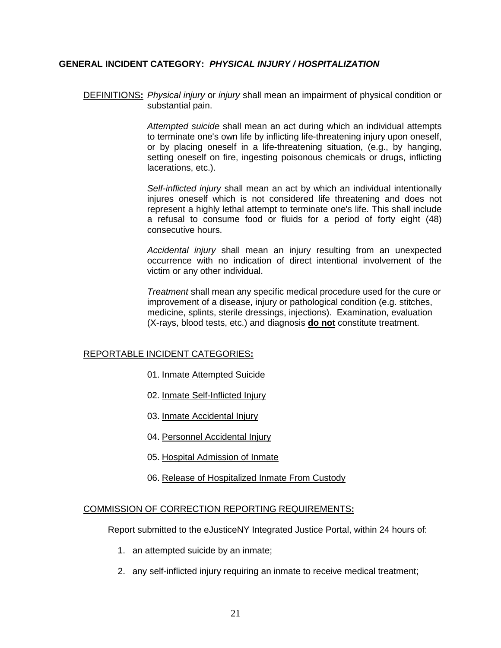### **GENERAL INCIDENT CATEGORY:** *PHYSICAL INJURY / HOSPITALIZATION*

DEFINITIONS**:** *Physical injury* or *injury* shall mean an impairment of physical condition or substantial pain.

> *Attempted suicide* shall mean an act during which an individual attempts to terminate one's own life by inflicting life-threatening injury upon oneself, or by placing oneself in a life-threatening situation, (e.g., by hanging, setting oneself on fire, ingesting poisonous chemicals or drugs, inflicting lacerations, etc.).

> *Self-inflicted injury* shall mean an act by which an individual intentionally injures oneself which is not considered life threatening and does not represent a highly lethal attempt to terminate one's life. This shall include a refusal to consume food or fluids for a period of forty eight (48) consecutive hours.

> *Accidental injury* shall mean an injury resulting from an unexpected occurrence with no indication of direct intentional involvement of the victim or any other individual.

> *Treatment* shall mean any specific medical procedure used for the cure or improvement of a disease, injury or pathological condition (e.g. stitches, medicine, splints, sterile dressings, injections). Examination, evaluation (X-rays, blood tests, etc.) and diagnosis **do not** constitute treatment.

#### REPORTABLE INCIDENT CATEGORIES**:**

- 01. Inmate Attempted Suicide
- 02. Inmate Self-Inflicted Injury
- 03. Inmate Accidental Injury
- 04. Personnel Accidental Injury
- 05. Hospital Admission of Inmate
- 06. Release of Hospitalized Inmate From Custody

#### COMMISSION OF CORRECTION REPORTING REQUIREMENTS**:**

- 1. an attempted suicide by an inmate;
- 2. any self-inflicted injury requiring an inmate to receive medical treatment;